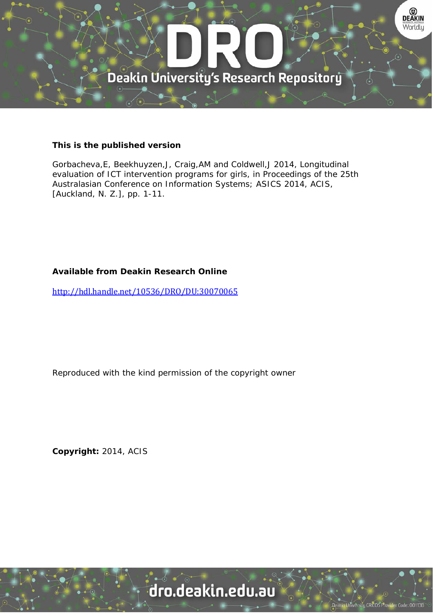

# **This is the published version**

Gorbacheva,E, Beekhuyzen,J, Craig,AM and Coldwell,J 2014, Longitudinal evaluation of ICT intervention programs for girls, in Proceedings of the 25th Australasian Conference on Information Systems; ASICS 2014, ACIS, [Auckland, N. Z.], pp. 1-11.

# **Available from Deakin Research Online**

http://hdl.handle.net/10536/DRO/DU:30070065

Reproduced with the kind permission of the copyright owner

**Copyright:** 2014, ACIS

dro.deakin.edu.au

sity CRICOS Pro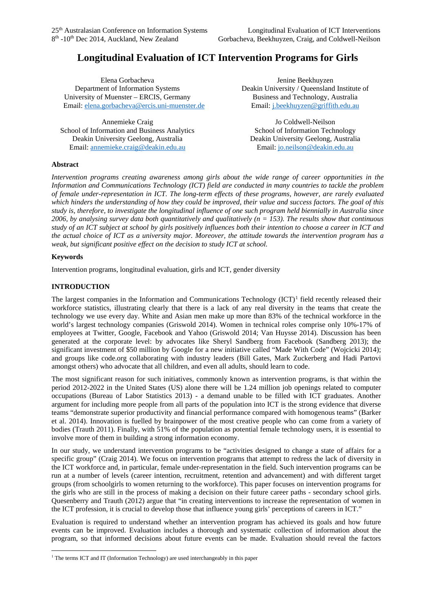# **Longitudinal Evaluation of ICT Intervention Programs for Girls**

Elena Gorbacheva Department of Information Systems University of Muenster – ERCIS, Germany Email: [elena.gorbacheva@ercis.uni-muenster.de](mailto:elena.gorbacheva@ercis.uni-muenster.de)

Annemieke Craig School of Information and Business Analytics Deakin University Geelong, Australia Email: [annemieke.craig@deakin.edu.au](mailto:acraig@deakin.edu.au)

Jenine Beekhuyzen Deakin University / Queensland Institute of Business and Technology, Australia Email[: j.beekhuyzen@griffith.edu.au](mailto:j.beekhuyzen@griffith.edu.au)

Jo Coldwell-Neilson School of Information Technology Deakin University Geelong, Australia Email: [jo.neilson@deakin.edu.au](mailto:jo.neilson@deakin.edu.au)

## **Abstract**

*Intervention programs creating awareness among girls about the wide range of career opportunities in the Information and Communications Technology (ICT) field are conducted in many countries to tackle the problem of female under-representation in ICT. The long-term effects of these programs, however, are rarely evaluated which hinders the understanding of how they could be improved, their value and success factors. The goal of this study is, therefore, to investigate the longitudinal influence of one such program held biennially in Australia since*  2006, by analysing survey data both quantitatively and qualitatively  $(n = 153)$ . The results show that continuous *study of an ICT subject at school by girls positively influences both their intention to choose a career in ICT and the actual choice of ICT as a university major. Moreover, the attitude towards the intervention program has a weak, but significant positive effect on the decision to study ICT at school.*

# **Keywords**

Intervention programs, longitudinal evaluation, girls and ICT, gender diversity

# **INTRODUCTION**

The largest companies in the Information and Communications Technology  $(ICT)^1$  $(ICT)^1$  field recently released their workforce statistics, illustrating clearly that there is a lack of any real diversity in the teams that create the technology we use every day. White and Asian men make up more than 83% of the technical workforce in the world's largest technology companies (Griswold 2014). Women in technical roles comprise only 10%-17% of employees at Twitter, Google, Facebook and Yahoo (Griswold 2014; Van Huysse 2014). Discussion has been generated at the corporate level: by advocates like Sheryl Sandberg from Facebook (Sandberg 2013); the significant investment of \$50 million by Google for a new initiative called "Made With Code" (Wojcicki 2014); and groups like code.org collaborating with industry leaders (Bill Gates, Mark Zuckerberg and Hadi Partovi amongst others) who advocate that all children, and even all adults, should learn to code.

The most significant reason for such initiatives, commonly known as intervention programs, is that within the period 2012-2022 in the United States (US) alone there will be 1.24 million job openings related to computer occupations (Bureau of Labor Statistics 2013) - a demand unable to be filled with ICT graduates. Another argument for including more people from all parts of the population into ICT is the strong evidence that diverse teams "demonstrate superior productivity and financial performance compared with homogenous teams" (Barker et al. 2014). Innovation is fuelled by brainpower of the most creative people who can come from a variety of bodies (Trauth 2011). Finally, with 51% of the population as potential female technology users, it is essential to involve more of them in building a strong information economy.

In our study, we understand intervention programs to be "activities designed to change a state of affairs for a specific group" (Craig 2014). We focus on intervention programs that attempt to redress the lack of diversity in the ICT workforce and, in particular, female under-representation in the field. Such intervention programs can be run at a number of levels (career intention, recruitment, retention and advancement) and with different target groups (from schoolgirls to women returning to the workforce). This paper focuses on intervention programs for the girls who are still in the process of making a decision on their future career paths - secondary school girls. Quesenberry and Trauth (2012) argue that "in creating interventions to increase the representation of women in the ICT profession, it is crucial to develop those that influence young girls' perceptions of careers in ICT."

Evaluation is required to understand whether an intervention program has achieved its goals and how future events can be improved. Evaluation includes a thorough and systematic collection of information about the program, so that informed decisions about future events can be made. Evaluation should reveal the factors

<span id="page-1-0"></span><sup>&</sup>lt;sup>1</sup> The terms ICT and IT (Information Technology) are used interchangeably in this paper -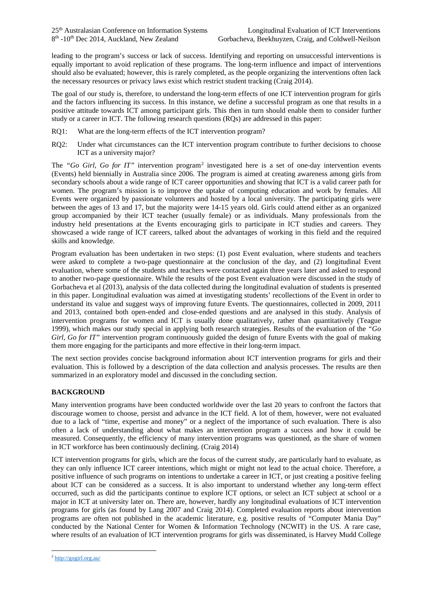leading to the program's success or lack of success. Identifying and reporting on unsuccessful interventions is equally important to avoid replication of these programs. The long-term influence and impact of interventions should also be evaluated; however, this is rarely completed, as the people organizing the interventions often lack the necessary resources or privacy laws exist which restrict student tracking (Craig 2014).

The goal of our study is, therefore, to understand the long-term effects of one ICT intervention program for girls and the factors influencing its success. In this instance, we define a successful program as one that results in a positive attitude towards ICT among participant girls. This then in turn should enable them to consider further study or a career in ICT. The following research questions (RQs) are addressed in this paper:

- RQ1: What are the long-term effects of the ICT intervention program?
- RQ2: Under what circumstances can the ICT intervention program contribute to further decisions to choose ICT as a university major?

The *"Go Girl, Go for IT"* intervention program<sup>[2](#page-2-0)</sup> investigated here is a set of one-day intervention events (Events) held biennially in Australia since 2006. The program is aimed at creating awareness among girls from secondary schools about a wide range of ICT career opportunities and showing that ICT is a valid career path for women. The program's mission is to improve the uptake of computing education and work by females. All Events were organized by passionate volunteers and hosted by a local university. The participating girls were between the ages of 13 and 17, but the majority were 14-15 years old. Girls could attend either as an organized group accompanied by their ICT teacher (usually female) or as individuals. Many professionals from the industry held presentations at the Events encouraging girls to participate in ICT studies and careers. They showcased a wide range of ICT careers, talked about the advantages of working in this field and the required skills and knowledge.

Program evaluation has been undertaken in two steps: (1) post Event evaluation, where students and teachers were asked to complete a two-page questionnaire at the conclusion of the day, and (2) longitudinal Event evaluation, where some of the students and teachers were contacted again three years later and asked to respond to another two-page questionnaire. While the results of the post Event evaluation were discussed in the study of Gorbacheva et al (2013), analysis of the data collected during the longitudinal evaluation of students is presented in this paper. Longitudinal evaluation was aimed at investigating students' recollections of the Event in order to understand its value and suggest ways of improving future Events. The questionnaires, collected in 2009, 2011 and 2013, contained both open-ended and close-ended questions and are analysed in this study. Analysis of intervention programs for women and ICT is usually done qualitatively, rather than quantitatively (Teague 1999), which makes our study special in applying both research strategies. Results of the evaluation of the *"Go Girl, Go for IT"* intervention program continuously guided the design of future Events with the goal of making them more engaging for the participants and more effective in their long-term impact.

The next section provides concise background information about ICT intervention programs for girls and their evaluation. This is followed by a description of the data collection and analysis processes. The results are then summarized in an exploratory model and discussed in the concluding section.

## **BACKGROUND**

Many intervention programs have been conducted worldwide over the last 20 years to confront the factors that discourage women to choose, persist and advance in the ICT field. A lot of them, however, were not evaluated due to a lack of "time, expertise and money" or a neglect of the importance of such evaluation. There is also often a lack of understanding about what makes an intervention program a success and how it could be measured. Consequently, the efficiency of many intervention programs was questioned, as the share of women in ICT workforce has been continuously declining. (Craig 2014)

ICT intervention programs for girls, which are the focus of the current study, are particularly hard to evaluate, as they can only influence ICT career intentions, which might or might not lead to the actual choice. Therefore, a positive influence of such programs on intentions to undertake a career in ICT, or just creating a positive feeling about ICT can be considered as a success. It is also important to understand whether any long-term effect occurred, such as did the participants continue to explore ICT options, or select an ICT subject at school or a major in ICT at university later on. There are, however, hardly any longitudinal evaluations of ICT intervention programs for girls (as found by Lang 2007 and Craig 2014). Completed evaluation reports about intervention programs are often not published in the academic literature, e.g. positive results of "Computer Mania Day" conducted by the National Center for Women & Information Technology (NCWIT) in the US. A rare case, where results of an evaluation of ICT intervention programs for girls was disseminated, is Harvey Mudd College

<span id="page-2-0"></span><sup>2</sup> <http://gogirl.org.au/> -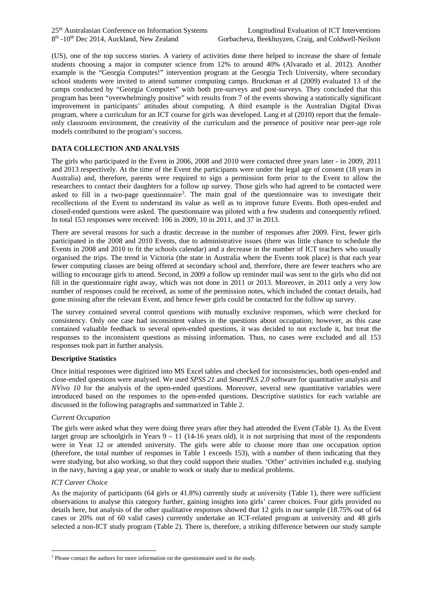(US), one of the top success stories. A variety of activities done there helped to increase the share of female students choosing a major in computer science from 12% to around 40% (Alvarado et al. 2012). Another example is the "Georgia Computes!" intervention program at the Georgia Tech University, where secondary school students were invited to attend summer computing camps. Bruckman et al (2009) evaluated 13 of the camps conducted by "Georgia Computes" with both pre-surveys and post-surveys. They concluded that this program has been "overwhelmingly positive" with results from 7 of the events showing a statistically significant improvement in participants' attitudes about computing. A third example is the Australian Digital Divas program, where a curriculum for an ICT course for girls was developed. Lang et al (2010) report that the femaleonly classroom environment, the creativity of the curriculum and the presence of positive near peer-age role models contributed to the program's success.

## **DATA COLLECTION AND ANALYSIS**

The girls who participated in the Event in 2006, 2008 and 2010 were contacted three years later - in 2009, 2011 and 2013 respectively. At the time of the Event the participants were under the legal age of consent (18 years in Australia) and, therefore, parents were required to sign a permission form prior to the Event to allow the researchers to contact their daughters for a follow up survey. Those girls who had agreed to be contacted were asked to fill in a two-page questionnaire<sup>[3](#page-3-0)</sup>. The main goal of the questionnaire was to investigate their recollections of the Event to understand its value as well as to improve future Events. Both open-ended and closed-ended questions were asked. The questionnaire was piloted with a few students and consequently refined. In total 153 responses were received: 106 in 2009, 10 in 2011, and 37 in 2013.

There are several reasons for such a drastic decrease in the number of responses after 2009. First, fewer girls participated in the 2008 and 2010 Events, due to administrative issues (there was little chance to schedule the Events in 2008 and 2010 to fit the schools calendar) and a decrease in the number of ICT teachers who usually organised the trips. The trend in Victoria (the state in Australia where the Events took place) is that each year fewer computing classes are being offered at secondary school and, therefore, there are fewer teachers who are willing to encourage girls to attend. Second, in 2009 a follow up reminder mail was sent to the girls who did not fill in the questionnaire right away, which was not done in 2011 or 2013. Moreover, in 2011 only a very low number of responses could be received, as some of the permission notes, which included the contact details, had gone missing after the relevant Event, and hence fewer girls could be contacted for the follow up survey.

The survey contained several control questions with mutually exclusive responses, which were checked for consistency. Only one case had inconsistent values in the questions about occupation; however, as this case contained valuable feedback to several open-ended questions, it was decided to not exclude it, but treat the responses to the inconsistent questions as missing information. Thus, no cases were excluded and all 153 responses took part in further analysis.

#### **Descriptive Statistics**

Once initial responses were digitized into MS Excel tables and checked for inconsistencies, both open-ended and close-ended questions were analysed. We used *SPSS 21* and *SmartPLS 2.0* software for quantitative analysis and *NVivo 10* for the analysis of the open-ended questions. Moreover, several new quantitative variables were introduced based on the responses to the open-ended questions. Descriptive statistics for each variable are discussed in the following paragraphs and summarized in Table 2.

#### *Current Occupation*

The girls were asked what they were doing three years after they had attended the Event (Table 1). As the Event target group are schoolgirls in Years  $9 - 11$  (14-16 years old), it is not surprising that most of the respondents were in Year 12 or attended university. The girls were able to choose more than one occupation option (therefore, the total number of responses in Table 1 exceeds 153), with a number of them indicating that they were studying, but also working, so that they could support their studies. 'Other' activities included e.g. studying in the navy, having a gap year, or unable to work or study due to medical problems.

#### *ICT Career Choice*

As the majority of participants (64 girls or 41.8%) currently study at university (Table 1), there were sufficient observations to analyse this category further, gaining insights into girls' career choices. Four girls provided no details here, but analysis of the other qualitative responses showed that 12 girls in our sample (18.75% out of 64 cases or 20% out of 60 valid cases) currently undertake an ICT-related program at university and 48 girls selected a non-ICT study program (Table 2). There is, therefore, a striking difference between our study sample

<span id="page-3-0"></span><sup>&</sup>lt;sup>3</sup> Please contact the authors for more information on the questionnaire used in the study. -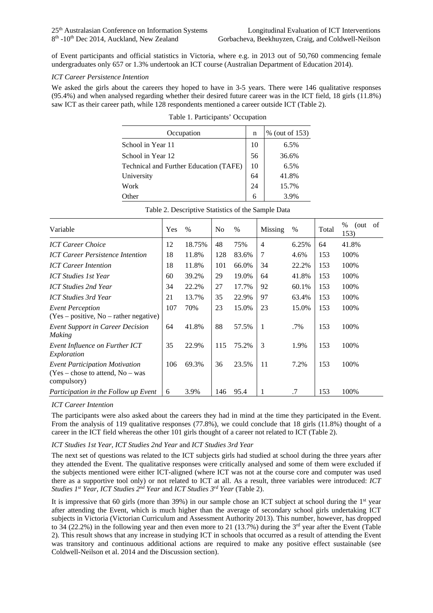of Event participants and official statistics in Victoria, where e.g. in 2013 out of 50,760 commencing female undergraduates only 657 or 1.3% undertook an ICT course (Australian Department of Education 2014).

#### *ICT Career Persistence Intention*

We asked the girls about the careers they hoped to have in 3-5 years. There were 146 qualitative responses (95.4%) and when analysed regarding whether their desired future career was in the ICT field, 18 girls (11.8%) saw ICT as their career path, while 128 respondents mentioned a career outside ICT (Table 2).

| Occupation                             | n  | % (out of 153) |
|----------------------------------------|----|----------------|
| School in Year 11                      | 10 | 6.5%           |
| School in Year 12                      | 56 | 36.6%          |
| Technical and Further Education (TAFE) | 10 | 6.5%           |
| University                             | 64 | 41.8%          |
| Work                                   | 24 | 15.7%          |
| Other                                  | 6  | 3.9%           |

Table 1. Participants' Occupation

| Variable                                                                                    | Yes | $\%$   | N <sub>0</sub> | $\%$  | Missing        | %     | Total | $\%$<br>of<br>(out)<br>153) |
|---------------------------------------------------------------------------------------------|-----|--------|----------------|-------|----------------|-------|-------|-----------------------------|
| <b>ICT Career Choice</b>                                                                    | 12  | 18.75% | 48             | 75%   | $\overline{4}$ | 6.25% | 64    | 41.8%                       |
| <b>ICT Career Persistence Intention</b>                                                     | 18  | 11.8%  | 128            | 83.6% | 7              | 4.6%  | 153   | 100%                        |
| <b>ICT Career Intention</b>                                                                 | 18  | 11.8%  | 101            | 66.0% | 34             | 22.2% | 153   | 100%                        |
| <b>ICT Studies 1st Year</b>                                                                 | 60  | 39.2%  | 29             | 19.0% | 64             | 41.8% | 153   | 100%                        |
| ICT Studies 2nd Year                                                                        | 34  | 22.2%  | 27             | 17.7% | 92             | 60.1% | 153   | 100%                        |
| <b>ICT Studies 3rd Year</b>                                                                 | 21  | 13.7%  | 35             | 22.9% | 97             | 63.4% | 153   | 100%                        |
| <b>Event Perception</b><br>$(Yes - positive, No - rather negative)$                         | 107 | 70%    | 23             | 15.0% | 23             | 15.0% | 153   | 100%                        |
| <b>Event Support in Career Decision</b><br>Making                                           | 64  | 41.8%  | 88             | 57.5% | $\mathbf{1}$   | .7%   | 153   | 100%                        |
| Event Influence on Further ICT<br>Exploration                                               | 35  | 22.9%  | 115            | 75.2% | 3              | 1.9%  | 153   | 100%                        |
| <b>Event Participation Motivation</b><br>$(Yes - chose to attend, No - was)$<br>compulsory) | 106 | 69.3%  | 36             | 23.5% | 11             | 7.2%  | 153   | 100%                        |
| Participation in the Follow up Event                                                        | 6   | 3.9%   | 146            | 95.4  |                | .7    | 153   | 100%                        |

Table 2. Descriptive Statistics of the Sample Data

#### *ICT Career Intention*

The participants were also asked about the careers they had in mind at the time they participated in the Event. From the analysis of 119 qualitative responses (77.8%), we could conclude that 18 girls (11.8%) thought of a career in the ICT field whereas the other 101 girls thought of a career not related to ICT (Table 2).

#### *ICT Studies 1st Year, ICT Studies 2nd Year* and *ICT Studies 3rd Year*

The next set of questions was related to the ICT subjects girls had studied at school during the three years after they attended the Event. The qualitative responses were critically analysed and some of them were excluded if the subjects mentioned were either ICT-aligned (where ICT was not at the course core and computer was used there as a supportive tool only) or not related to ICT at all. As a result, three variables were introduced: *ICT Studies 1st Year, ICT Studies 2nd Year* and *ICT Studies 3rd Year* (Table 2).

It is impressive that 60 girls (more than 39%) in our sample chose an ICT subject at school during the 1<sup>st</sup> year after attending the Event, which is much higher than the average of secondary school girls undertaking ICT subjects in Victoria (Victorian Curriculum and Assessment Authority 2013). This number, however, has dropped to 34 (22.2%) in the following year and then even more to 21 (13.7%) during the 3<sup>rd</sup> year after the Event (Table 2). This result shows that any increase in studying ICT in schools that occurred as a result of attending the Event was transitory and continuous additional actions are required to make any positive effect sustainable (see Coldwell-Neilson et al. 2014 and the Discussion section).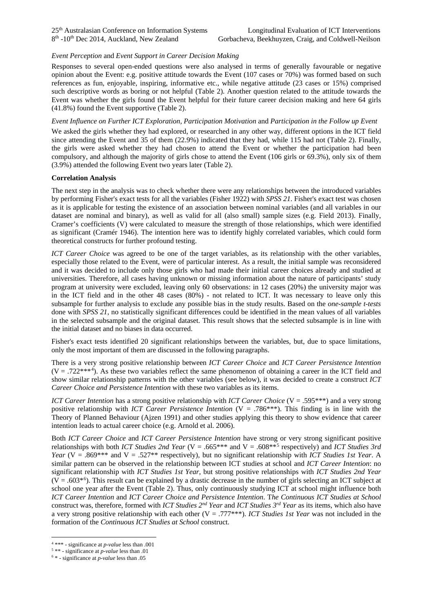#### *Event Perception* and *Event Support in Career Decision Making*

Responses to several open-ended questions were also analysed in terms of generally favourable or negative opinion about the Event: e.g. positive attitude towards the Event (107 cases or 70%) was formed based on such references as fun, enjoyable, inspiring, informative etc., while negative attitude (23 cases or 15%) comprised such descriptive words as boring or not helpful (Table 2). Another question related to the attitude towards the Event was whether the girls found the Event helpful for their future career decision making and here 64 girls (41.8%) found the Event supportive (Table 2).

#### *Event Influence on Further ICT Exploration, Participation Motivation* and *Participation in the Follow up Event*

We asked the girls whether they had explored, or researched in any other way, different options in the ICT field since attending the Event and 35 of them (22.9%) indicated that they had, while 115 had not (Table 2). Finally, the girls were asked whether they had chosen to attend the Event or whether the participation had been compulsory, and although the majority of girls chose to attend the Event (106 girls or 69.3%), only six of them (3.9%) attended the following Event two years later (Table 2).

#### **Correlation Analysis**

The next step in the analysis was to check whether there were any relationships between the introduced variables by performing Fisher's exact tests for all the variables (Fisher 1922) with *SPSS 21*. Fisher's exact test was chosen as it is applicable for testing the existence of an association between nominal variables (and all variables in our dataset are nominal and binary), as well as valid for all (also small) sample sizes (e.g. Field 2013). Finally, Cramer's coefficients (V) were calculated to measure the strength of those relationships, which were identified as significant (Cramér 1946). The intention here was to identify highly correlated variables, which could form theoretical constructs for further profound testing.

*ICT Career Choice* was agreed to be one of the target variables, as its relationship with the other variables, especially those related to the Event, were of particular interest. As a result, the initial sample was reconsidered and it was decided to include only those girls who had made their initial career choices already and studied at universities. Therefore, all cases having unknown or missing information about the nature of participants' study program at university were excluded, leaving only 60 observations: in 12 cases (20%) the university major was in the ICT field and in the other 48 cases (80%) - not related to ICT. It was necessary to leave only this subsample for further analysis to exclude any possible bias in the study results. Based on the *one-sample t-tests* done with *SPSS 21*, no statistically significant differences could be identified in the mean values of all variables in the selected subsample and the original dataset. This result shows that the selected subsample is in line with the initial dataset and no biases in data occurred.

Fisher's exact tests identified 20 significant relationships between the variables, but, due to space limitations, only the most important of them are discussed in the following paragraphs.

There is a very strong positive relationship between *ICT Career Choice* and *ICT Career Persistence Intention*  $(V = .722***<sup>4</sup>)$  $(V = .722***<sup>4</sup>)$  $(V = .722***<sup>4</sup>)$ . As these two variables reflect the same phenomenon of obtaining a career in the ICT field and show similar relationship patterns with the other variables (see below), it was decided to create a construct *ICT Career Choice and Persistence Intention* with these two variables as its items.

*ICT Career Intention* has a strong positive relationship with *ICT Career Choice* (V = .595\*\*\*) and a very strong positive relationship with *ICT Career Persistence Intention* (V = .786\*\*\*). This finding is in line with the Theory of Planned Behaviour (Ajzen 1991) and other studies applying this theory to show evidence that career intention leads to actual career choice (e.g. Arnold et al. 2006).

Both *ICT Career Choice* and *ICT Career Persistence Intention* have strong or very strong significant positive relationships with both *ICT Studies 2nd Year* (V = .665\*\*\* and V = .608\*\*[5](#page-5-1) respectively) and *ICT Studies 3rd Year* (V = .869\*\*\* and V = .527\*\* respectively), but no significant relationship with *ICT Studies 1st Year*. A similar pattern can be observed in the relationship between ICT studies at school and *ICT Career Intention*: no significant relationship with *ICT Studies 1st Year*, but strong positive relationships with *ICT Studies 2nd Year*  $(V = .603<sup>*</sup>)$  $(V = .603<sup>*</sup>)$  $(V = .603<sup>*</sup>)$ . This result can be explained by a drastic decrease in the number of girls selecting an ICT subject at school one year after the Event (Table 2). Thus, only continuously studying ICT at school might influence both *ICT Career Intention* and *ICT Career Choice and Persistence Intention*. T*he Continuous ICT Studies at School* construct was, therefore, formed with *ICT Studies 2nd Year* and *ICT Studies 3rd Year* as its items, which also have a very strong positive relationship with each other (V = .777\*\*\*). *ICT Studies 1st Year* was not included in the formation of the *Continuous ICT Studies at School* construct.

<sup>4</sup> \*\*\* - significance at *p-value* less than .001 -

<span id="page-5-1"></span><span id="page-5-0"></span><sup>5</sup> \*\* - significance at *p-value* less than .01

<span id="page-5-2"></span><sup>6</sup> \* - significance at *p-value* less than .05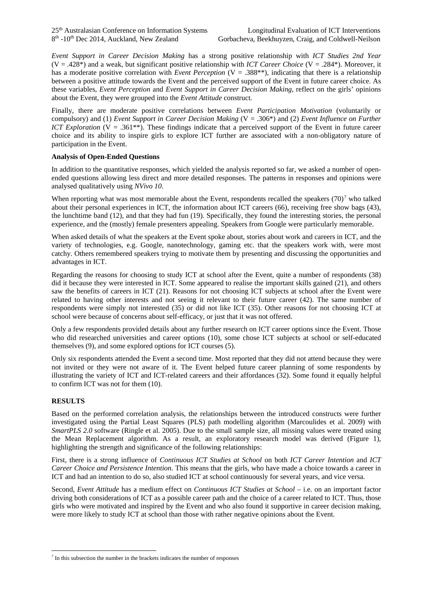*Event Support in Career Decision Making* has a strong positive relationship with *ICT Studies 2nd Year* (V = .428\*) and a weak, but significant positive relationship with *ICT Career Choice* (V = .284\*). Moreover, it has a moderate positive correlation with *Event Perception* (V = .388<sup>\*\*</sup>), indicating that there is a relationship between a positive attitude towards the Event and the perceived support of the Event in future career choice. As these variables, *Event Perception* and *Event Support in Career Decision Making*, reflect on the girls' opinions about the Event, they were grouped into the *Event Attitude* construct.

Finally, there are moderate positive correlations between *Event Participation Motivation* (voluntarily or compulsory) and (1) *Event Support in Career Decision Making* (V = .306\*) and (2) *Event Influence on Further ICT Exploration* (V = .361<sup>\*\*</sup>). These findings indicate that a perceived support of the Event in future career choice and its ability to inspire girls to explore ICT further are associated with a non-obligatory nature of participation in the Event.

#### **Analysis of Open-Ended Questions**

In addition to the quantitative responses, which yielded the analysis reported so far, we asked a number of openended questions allowing less direct and more detailed responses. The patterns in responses and opinions were analysed qualitatively using *NVivo 10*.

When reporting what was most memorable about the Event, respondents recalled the speakers  $(70)^7$  $(70)^7$  $(70)^7$  who talked about their personal experiences in ICT, the information about ICT careers (66), receiving free show bags (43), the lunchtime band (12), and that they had fun (19). Specifically, they found the interesting stories, the personal experience, and the (mostly) female presenters appealing. Speakers from Google were particularly memorable.

When asked details of what the speakers at the Event spoke about, stories about work and careers in ICT, and the variety of technologies, e.g. Google, nanotechnology, gaming etc. that the speakers work with, were most catchy. Others remembered speakers trying to motivate them by presenting and discussing the opportunities and advantages in ICT.

Regarding the reasons for choosing to study ICT at school after the Event, quite a number of respondents (38) did it because they were interested in ICT. Some appeared to realise the important skills gained (21), and others saw the benefits of careers in ICT (21). Reasons for not choosing ICT subjects at school after the Event were related to having other interests and not seeing it relevant to their future career (42). The same number of respondents were simply not interested (35) or did not like ICT (35). Other reasons for not choosing ICT at school were because of concerns about self-efficacy, or just that it was not offered.

Only a few respondents provided details about any further research on ICT career options since the Event. Those who did researched universities and career options (10), some chose ICT subjects at school or self-educated themselves (9), and some explored options for ICT courses (5).

Only six respondents attended the Event a second time. Most reported that they did not attend because they were not invited or they were not aware of it. The Event helped future career planning of some respondents by illustrating the variety of ICT and ICT-related careers and their affordances (32). Some found it equally helpful to confirm ICT was not for them (10).

#### **RESULTS**

-

Based on the performed correlation analysis, the relationships between the introduced constructs were further investigated using the Partial Least Squares (PLS) path modelling algorithm (Marcoulides et al. 2009) with *SmartPLS 2.0* software (Ringle et al. 2005). Due to the small sample size, all missing values were treated using the Mean Replacement algorithm. As a result, an exploratory research model was derived (Figure 1), highlighting the strength and significance of the following relationships:

First, there is a strong influence of *Continuous ICT Studies at School* on both *ICT Career Intention* and *ICT Career Choice and Persistence Intention*. This means that the girls, who have made a choice towards a career in ICT and had an intention to do so, also studied ICT at school continuously for several years, and vice versa.

Second, *Event Attitude* has a medium effect on *Continuous ICT Studies at School* – i.e. on an important factor driving both considerations of ICT as a possible career path and the choice of a career related to ICT. Thus, those girls who were motivated and inspired by the Event and who also found it supportive in career decision making, were more likely to study ICT at school than those with rather negative opinions about the Event.

<span id="page-6-0"></span> $<sup>7</sup>$  In this subsection the number in the brackets indicates the number of responses</sup>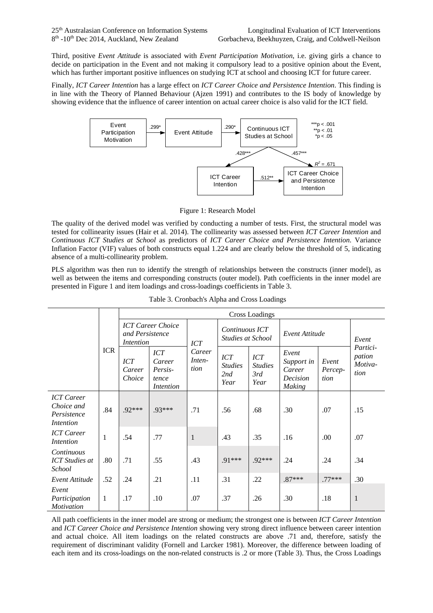Third, positive *Event Attitude* is associated with *Event Participation Motivation*, i.e. giving girls a chance to decide on participation in the Event and not making it compulsory lead to a positive opinion about the Event, which has further important positive influences on studying ICT at school and choosing ICT for future career.

Finally, *ICT Career Intention* has a large effect on *ICT Career Choice and Persistence Intention*. This finding is in line with the Theory of Planned Behaviour (Ajzen 1991) and contributes to the IS body of knowledge by showing evidence that the influence of career intention on actual career choice is also valid for the ICT field.



Figure 1: Research Model

The quality of the derived model was verified by conducting a number of tests. First, the structural model was tested for collinearity issues (Hair et al. 2014). The collinearity was assessed between *ICT Career Intention* and *Continuous ICT Studies at School* as predictors of *ICT Career Choice and Persistence Intention*. Variance Inflation Factor (VIF) values of both constructs equal 1.224 and are clearly below the threshold of 5, indicating absence of a multi-collinearity problem.

PLS algorithm was then run to identify the strength of relationships between the constructs (inner model), as well as between the items and corresponding constructs (outer model). Path coefficients in the inner model are presented in Figure 1 and item loadings and cross-loadings coefficients in Table 3.

|                                                             |              | Cross Loadings                                           |                                                       |                          |                                             |                                             |                                                            |                          |                                       |
|-------------------------------------------------------------|--------------|----------------------------------------------------------|-------------------------------------------------------|--------------------------|---------------------------------------------|---------------------------------------------|------------------------------------------------------------|--------------------------|---------------------------------------|
|                                                             | <b>ICR</b>   | <b>ICT</b> Career Choice<br>and Persistence<br>Intention |                                                       | ICT                      | Continuous ICT<br>Studies at School         |                                             | Event Attitude                                             |                          | Event                                 |
|                                                             |              | ICT<br>Career<br>Choice                                  | <b>ICT</b><br>Career<br>Persis-<br>tence<br>Intention | Career<br>Inten-<br>tion | <b>ICT</b><br><i>Studies</i><br>2nd<br>Year | <b>ICT</b><br><i>Studies</i><br>3rd<br>Year | Event<br>Support in<br>Career<br>Decision<br><b>Making</b> | Event<br>Percep-<br>tion | Partici-<br>pation<br>Motiva-<br>tion |
| <b>ICT</b> Career<br>Choice and<br>Persistence<br>Intention | .84          | .92***                                                   | .93***                                                | .71                      | .56                                         | .68                                         | .30                                                        | .07                      | .15                                   |
| <b>ICT</b> Career<br>Intention                              | $\mathbf{1}$ | .54                                                      | .77                                                   | $\mathbf{1}$             | .43                                         | .35                                         | .16                                                        | .00                      | .07                                   |
| Continuous<br><b>ICT</b> Studies at<br><i>School</i>        | .80          | .71                                                      | .55                                                   | .43                      | .91***                                      | .92***                                      | .24                                                        | .24                      | .34                                   |
| Event Attitude                                              | .52          | .24                                                      | .21                                                   | .11                      | .31                                         | .22                                         | $.87***$                                                   | $.77***$                 | .30                                   |
| Event<br>Participation<br><b>Motivation</b>                 | 1            | .17                                                      | .10                                                   | .07                      | .37                                         | .26                                         | .30                                                        | .18                      | $\mathbf{1}$                          |

|  | Table 3. Cronbach's Alpha and Cross Loadings |  |  |  |
|--|----------------------------------------------|--|--|--|
|--|----------------------------------------------|--|--|--|

All path coefficients in the inner model are strong or medium; the strongest one is between *ICT Career Intention* and *ICT Career Choice and Persistence Intention* showing very strong direct influence between career intention and actual choice. All item loadings on the related constructs are above .71 and, therefore, satisfy the requirement of discriminant validity (Fornell and Larcker 1981). Moreover, the difference between loading of each item and its cross-loadings on the non-related constructs is .2 or more (Table 3). Thus, the Cross Loadings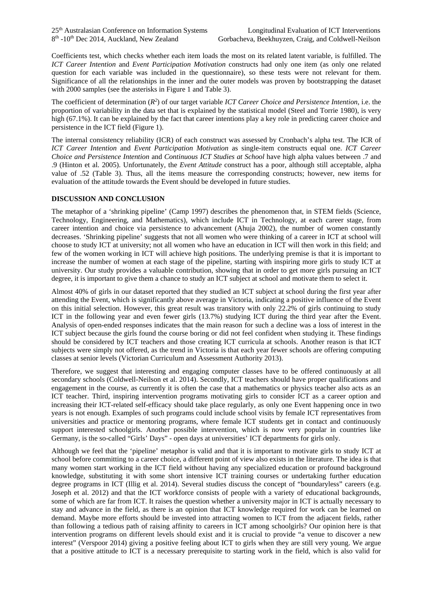Coefficients test, which checks whether each item loads the most on its related latent variable, is fulfilled. The *ICT Career Intention* and *Event Participation Motivation* constructs had only one item (as only one related question for each variable was included in the questionnaire), so these tests were not relevant for them. Significance of all the relationships in the inner and the outer models was proven by bootstrapping the dataset with 2000 samples (see the asterisks in Figure 1 and Table 3).

The coefficient of determination  $(R^2)$  of our target variable *ICT Career Choice and Persistence Intention*, i.e. the proportion of variability in the data set that is explained by the statistical model (Steel and Torrie 1980), is very high (67.1%). It can be explained by the fact that career intentions play a key role in predicting career choice and persistence in the ICT field (Figure 1).

The internal consistency reliability (ICR) of each construct was assessed by Cronbach's alpha test. The ICR of *ICT Career Intention* and *Event Participation Motivation* as single-item constructs equal one. *ICT Career Choice and Persistence Intention* and *Continuous ICT Studies at School* have high alpha values between .7 and .9 (Hinton et al. 2005). Unfortunately, the *Event Attitude* construct has a poor, although still acceptable, alpha value of .52 (Table 3). Thus, all the items measure the corresponding constructs; however, new items for evaluation of the attitude towards the Event should be developed in future studies.

#### **DISCUSSION AND CONCLUSION**

The metaphor of a 'shrinking pipeline' (Camp 1997) describes the phenomenon that, in STEM fields (Science, Technology, Engineering, and Mathematics), which include ICT in Technology, at each career stage, from career intention and choice via persistence to advancement (Ahuja 2002), the number of women constantly decreases. 'Shrinking pipeline' suggests that not all women who were thinking of a career in ICT at school will choose to study ICT at university; not all women who have an education in ICT will then work in this field; and few of the women working in ICT will achieve high positions. The underlying premise is that it is important to increase the number of women at each stage of the pipeline, starting with inspiring more girls to study ICT at university. Our study provides a valuable contribution, showing that in order to get more girls pursuing an ICT degree, it is important to give them a chance to study an ICT subject at school and motivate them to select it.

Almost 40% of girls in our dataset reported that they studied an ICT subject at school during the first year after attending the Event, which is significantly above average in Victoria, indicating a positive influence of the Event on this initial selection. However, this great result was transitory with only 22.2% of girls continuing to study ICT in the following year and even fewer girls (13.7%) studying ICT during the third year after the Event. Analysis of open-ended responses indicates that the main reason for such a decline was a loss of interest in the ICT subject because the girls found the course boring or did not feel confident when studying it. These findings should be considered by ICT teachers and those creating ICT curricula at schools. Another reason is that ICT subjects were simply not offered, as the trend in Victoria is that each year fewer schools are offering computing classes at senior levels (Victorian Curriculum and Assessment Authority 2013).

Therefore, we suggest that interesting and engaging computer classes have to be offered continuously at all secondary schools (Coldwell-Neilson et al. 2014). Secondly, ICT teachers should have proper qualifications and engagement in the course, as currently it is often the case that a mathematics or physics teacher also acts as an ICT teacher. Third, inspiring intervention programs motivating girls to consider ICT as a career option and increasing their ICT-related self-efficacy should take place regularly, as only one Event happening once in two years is not enough. Examples of such programs could include school visits by female ICT representatives from universities and practice or mentoring programs, where female ICT students get in contact and continuously support interested schoolgirls. Another possible intervention, which is now very popular in countries like Germany, is the so-called "Girls' Days" - open days at universities' ICT departments for girls only.

Although we feel that the 'pipeline' metaphor is valid and that it is important to motivate girls to study ICT at school before committing to a career choice, a different point of view also exists in the literature. The idea is that many women start working in the ICT field without having any specialized education or profound background knowledge, substituting it with some short intensive ICT training courses or undertaking further education degree programs in ICT (Illig et al. 2014). Several studies discuss the concept of "boundaryless" careers (e.g. Joseph et al. 2012) and that the ICT workforce consists of people with a variety of educational backgrounds, some of which are far from ICT. It raises the question whether a university major in ICT is actually necessary to stay and advance in the field, as there is an opinion that ICT knowledge required for work can be learned on demand. Maybe more efforts should be invested into attracting women to ICT from the adjacent fields, rather than following a tedious path of raising affinity to careers in ICT among schoolgirls? Our opinion here is that intervention programs on different levels should exist and it is crucial to provide "a venue to discover a new interest" (Verspoor 2014) giving a positive feeling about ICT to girls when they are still very young. We argue that a positive attitude to ICT is a necessary prerequisite to starting work in the field, which is also valid for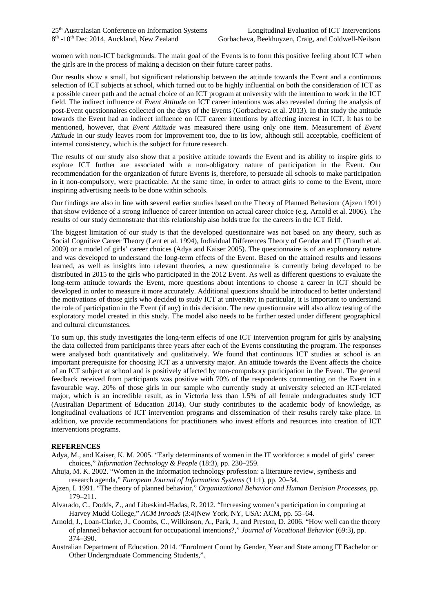women with non-ICT backgrounds. The main goal of the Events is to form this positive feeling about ICT when the girls are in the process of making a decision on their future career paths.

Our results show a small, but significant relationship between the attitude towards the Event and a continuous selection of ICT subjects at school, which turned out to be highly influential on both the consideration of ICT as a possible career path and the actual choice of an ICT program at university with the intention to work in the ICT field. The indirect influence of *Event Attitude* on ICT career intentions was also revealed during the analysis of post-Event questionnaires collected on the days of the Events (Gorbacheva et al. 2013). In that study the attitude towards the Event had an indirect influence on ICT career intentions by affecting interest in ICT. It has to be mentioned, however, that *Event Attitude* was measured there using only one item. Measurement of *Event Attitude* in our study leaves room for improvement too, due to its low, although still acceptable, coefficient of internal consistency, which is the subject for future research.

The results of our study also show that a positive attitude towards the Event and its ability to inspire girls to explore ICT further are associated with a non-obligatory nature of participation in the Event. Our recommendation for the organization of future Events is, therefore, to persuade all schools to make participation in it non-compulsory, were practicable. At the same time, in order to attract girls to come to the Event, more inspiring advertising needs to be done within schools.

Our findings are also in line with several earlier studies based on the Theory of Planned Behaviour (Ajzen 1991) that show evidence of a strong influence of career intention on actual career choice (e.g. Arnold et al. 2006). The results of our study demonstrate that this relationship also holds true for the careers in the ICT field.

The biggest limitation of our study is that the developed questionnaire was not based on any theory, such as Social Cognitive Career Theory (Lent et al. 1994), Individual Differences Theory of Gender and IT (Trauth et al. 2009) or a model of girls' career choices (Adya and Kaiser 2005). The questionnaire is of an exploratory nature and was developed to understand the long-term effects of the Event. Based on the attained results and lessons learned, as well as insights into relevant theories, a new questionnaire is currently being developed to be distributed in 2015 to the girls who participated in the 2012 Event. As well as different questions to evaluate the long-term attitude towards the Event, more questions about intentions to choose a career in ICT should be developed in order to measure it more accurately. Additional questions should be introduced to better understand the motivations of those girls who decided to study ICT at university; in particular, it is important to understand the role of participation in the Event (if any) in this decision. The new questionnaire will also allow testing of the exploratory model created in this study. The model also needs to be further tested under different geographical and cultural circumstances.

To sum up, this study investigates the long-term effects of one ICT intervention program for girls by analysing the data collected from participants three years after each of the Events constituting the program. The responses were analysed both quantitatively and qualitatively. We found that continuous ICT studies at school is an important prerequisite for choosing ICT as a university major. An attitude towards the Event affects the choice of an ICT subject at school and is positively affected by non-compulsory participation in the Event. The general feedback received from participants was positive with 70% of the respondents commenting on the Event in a favourable way. 20% of those girls in our sample who currently study at university selected an ICT-related major, which is an incredible result, as in Victoria less than 1.5% of all female undergraduates study ICT (Australian Department of Education 2014). Our study contributes to the academic body of knowledge, as longitudinal evaluations of ICT intervention programs and dissemination of their results rarely take place. In addition, we provide recommendations for practitioners who invest efforts and resources into creation of ICT interventions programs.

#### **REFERENCES**

- Adya, M., and Kaiser, K. M. 2005. "Early determinants of women in the IT workforce: a model of girls' career choices," *Information Technology & People* (18:3), pp. 230–259.
- Ahuja, M. K. 2002. "Women in the information technology profession: a literature review, synthesis and research agenda," *European Journal of Information Systems* (11:1), pp. 20–34.
- Ajzen, I. 1991. "The theory of planned behavior," *Organizational Behavior and Human Decision Processes*, pp. 179–211.
- Alvarado, C., Dodds, Z., and Libeskind-Hadas, R. 2012. "Increasing women's participation in computing at Harvey Mudd College," *ACM Inroads* (3:4)New York, NY, USA: ACM, pp. 55–64.
- Arnold, J., Loan-Clarke, J., Coombs, C., Wilkinson, A., Park, J., and Preston, D. 2006. "How well can the theory of planned behavior account for occupational intentions?," *Journal of Vocational Behavior* (69:3), pp. 374–390.
- Australian Department of Education. 2014. "Enrolment Count by Gender, Year and State among IT Bachelor or Other Undergraduate Commencing Students,".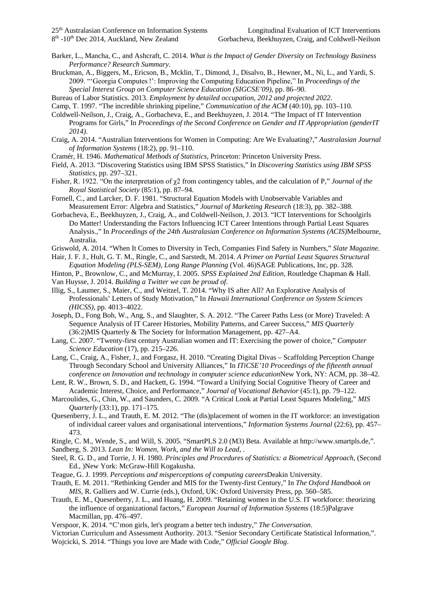- Barker, L., Mancha, C., and Ashcraft, C. 2014. *What is the Impact of Gender Diversity on Technology Business Performance? Research Summary*.
- Bruckman, A., Biggers, M., Ericson, B., Mcklin, T., Dimond, J., Disalvo, B., Hewner, M., Ni, L., and Yardi, S. 2009. "'Georgia Computes !': Improving the Computing Education Pipeline," In *Proceedings of the Special Interest Group on Computer Science Education (SIGCSE'09)*, pp. 86–90.

Bureau of Labor Statistics. 2013. *Employment by detailed occupation, 2012 and projected 2022*.

- Camp, T. 1997. "The incredible shrinking pipeline," *Communication of the ACM* (40:10), pp. 103–110.
- Coldwell-Neilson, J., Craig, A., Gorbacheva, E., and Beekhuyzen, J. 2014. "The Impact of IT Intervention Programs for Girls," In *Proceedings of the Second Conference on Gender and IT Appropriation (genderIT 2014)*.
- Craig, A. 2014. "Australian Interventions for Women in Computing: Are We Evaluating?," *Australasian Journal of Information Systems* (18:2), pp. 91–110.
- Cramér, H. 1946. *Mathematical Methods of Statistics*, Princeton: Princeton University Press.
- Field, A. 2013. "Discovering Statistics using IBM SPSS Statistics," In *Discovering Statistics using IBM SPSS Statistics*, pp. 297–321.
- Fisher, R. 1922. "On the interpretation of χ2 from contingency tables, and the calculation of P," *Journal of the Royal Statistical Society* (85:1), pp. 87–94.
- Fornell, C., and Larcker, D. F. 1981. "Structural Equation Models with Unobservable Variables and Measurement Error: Algebra and Statistics," *Journal of Marketing Research* (18:3), pp. 382–388.
- Gorbacheva, E., Beekhuyzen, J., Craig, A., and Coldwell-Neilson, J. 2013. "ICT Interventions for Schoolgirls Do Matter! Understanding the Factors Influencing ICT Career Intentions through Partial Least Squares Analysis.," In *Proceedings of the 24th Australasian Conference on Information Systems (ACIS)*Melbourne, Australia.
- Griswold, A. 2014. "When It Comes to Diversity in Tech, Companies Find Safety in Numbers," *Slate Magazine*.
- Hair, J. F. J., Hult, G. T. M., Ringle, C., and Sarstedt, M. 2014. *A Primer on Partial Least Squares Structural Equation Modeling (PLS-SEM)*, *Long Range Planning* (Vol. 46)SAGE Publications, Inc, pp. 328.
- Hinton, P., Brownlow, C., and McMurray, I. 2005. *SPSS Explained 2nd Edition*, Routledge Chapman & Hall.
- Van Huysse, J. 2014. *Building a Twitter we can be proud of*.
- Illig, S., Laumer, S., Maier, C., and Weitzel, T. 2014. "Why IS after All? An Explorative Analysis of Professionals' Letters of Study Motivation," In *Hawaii International Conference on System Sciences (HICSS)*, pp. 4013–4022.
- Joseph, D., Fong Boh, W., Ang, S., and Slaughter, S. A. 2012. "The Career Paths Less (or More) Traveled: A Sequence Analysis of IT Career Histories, Mobility Patterns, and Career Success," *MIS Quarterly* (36:2)MIS Quarterly & The Society for Information Management, pp. 427–A4.
- Lang, C. 2007. "Twenty-first century Australian women and IT: Exercising the power of choice," *Computer Science Education* (17), pp. 215–226.
- Lang, C., Craig, A., Fisher, J., and Forgasz, H. 2010. "Creating Digital Divas Scaffolding Perception Change Through Secondary School and University Alliances," In *ITiCSE'10 Proceedings of the fifteenth annual conference on Innovation and technology in computer science education*New York, NY: ACM, pp. 38–42.
- Lent, R. W., Brown, S. D., and Hackett, G. 1994. "Toward a Unifying Social Cognitive Theory of Career and Academic Interest, Choice, and Performance," *Journal of Vocational Behavior* (45:1), pp. 79–122.
- Marcoulides, G., Chin, W., and Saunders, C. 2009. "A Critical Look at Partial Least Squares Modeling," *MIS Quarterly* (33:1), pp. 171–175.
- Quesenberry, J. L., and Trauth, E. M. 2012. "The (dis)placement of women in the IT workforce: an investigation of individual career values and organisational interventions," *Information Systems Journal* (22:6), pp. 457– 473.
- Ringle, C. M., Wende, S., and Will, S. 2005. "SmartPLS 2.0 (M3) Beta. Available at http://www.smartpls.de,".
- Sandberg, S. 2013. *Lean In: Women, Work, and the Will to Lead*, .
- Steel, R. G. D., and Torrie, J. H. 1980. *Principles and Procedures of Statistics: a Biometrical Approach*, (Second Ed., )New York: McGraw-Hill Kogakusha.
- Teague, G. J. 1999. *Perceptions and misperceptions of computing careers*Deakin University.
- Trauth, E. M. 2011. "Rethinking Gender and MIS for the Twenty-first Century," In *The Oxford Handbook on MIS*, R. Galliers and W. Currie (eds.), Oxford, UK: Oxford University Press, pp. 560–585.
- Trauth, E. M., Quesenberry, J. L., and Huang, H. 2009. "Retaining women in the U.S. IT workforce: theorizing the influence of organizational factors," *European Journal of Information Systems* (18:5)Palgrave Macmillan, pp. 476–497.
- Verspoor, K. 2014. "C'mon girls, let's program a better tech industry," *The Conversation*.
- Victorian Curriculum and Assessment Authority. 2013. "Senior Secondary Certificate Statistical Information,". Wojcicki, S. 2014. "Things you love are Made with Code," *Official Google Blog*.